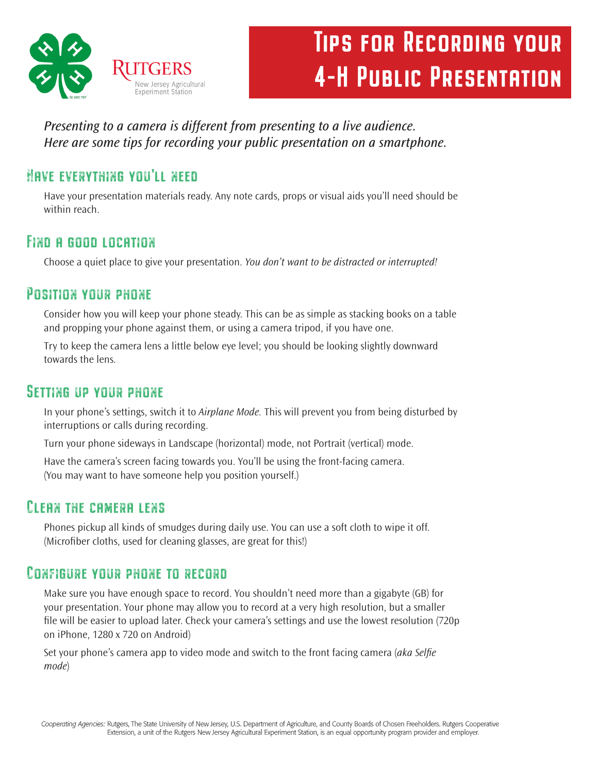

# Tips for Recording your 4-H Public Presentation

*Presenting to a camera is different from presenting to a live audience. Here are some tips for recording your public presentation on a smartphone.*

# Have everything you'll need

Have your presentation materials ready. Any note cards, props or visual aids you'll need should be within reach.

# Find a good location

Choose a quiet place to give your presentation. *You don't want to be distracted or interrupted!* 

## Position your phone

Consider how you will keep your phone steady. This can be as simple as stacking books on a table and propping your phone against them, or using a camera tripod, if you have one.

Try to keep the camera lens a little below eye level; you should be looking slightly downward towards the lens.

## Setting up your phone

In your phone's settings, switch it to *Airplane Mode.* This will prevent you from being disturbed by interruptions or calls during recording.

Turn your phone sideways in Landscape (horizontal) mode, not Portrait (vertical) mode.

Have the camera's screen facing towards you. You'll be using the front-facing camera. (You may want to have someone help you position yourself.)

## Clean the camera lens

Phones pickup all kinds of smudges during daily use. You can use a soft cloth to wipe it off. (Microfiber cloths, used for cleaning glasses, are great for this!)

# Configure your phone to record

Make sure you have enough space to record. You shouldn't need more than a gigabyte (GB) for your presentation. Your phone may allow you to record at a very high resolution, but a smaller file will be easier to upload later. Check your camera's settings and use the lowest resolution (720p on iPhone, 1280 x 720 on Android)

Set your phone's camera app to video mode and switch to the front facing camera (*aka Selfie mode*)